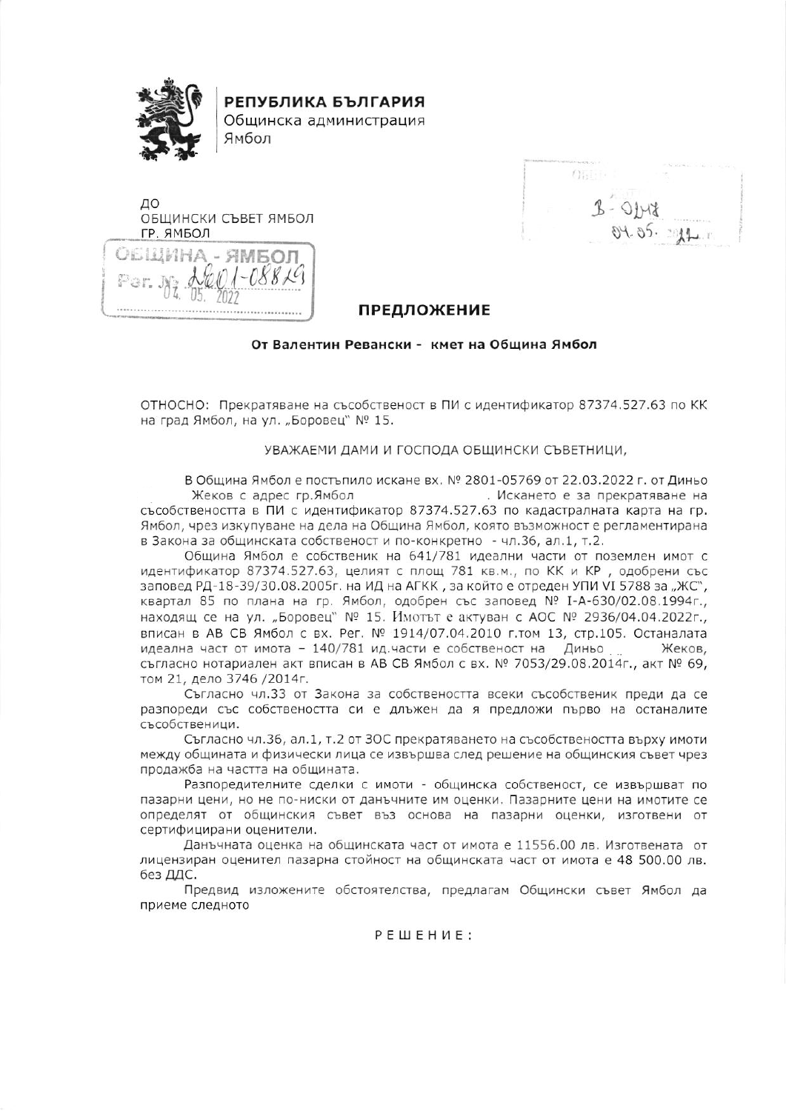

РЕПУБЛИКА БЪЛГАРИЯ

Общинска администрация Ямбол



 $(1511)$ 

## **ПРЕДЛОЖЕНИЕ**

## От Валентин Ревански - кмет на Община Ямбол

ОТНОСНО: Прекратяване на съсобственост в ПИ с идентификатор 87374.527.63 по КК на град Ямбол, на ул. "Боровец" № 15.

## УВАЖАЕМИ ДАМИ И ГОСПОДА ОБЩИНСКИ СЪВЕТНИЦИ,

В Община Ямбол е постъпило искане вх. № 2801-05769 от 22.03.2022 г. от Диньо Жеков с адрес гр.Ямбол . Искането е за прекратяване на съсобствеността в ПИ с идентификатор 87374.527.63 по кадастралната карта на гр. Ямбол, чрез изкупуване на дела на Община Ямбол, която възможност е регламентирана в Закона за общинската собственост и по-конкретно - чл.36, ал.1, т.2.

Община Ямбол е собственик на 641/781 идеални части от поземлен имот с идентификатор 87374.527.63, целият с площ 781 кв.м., по КК и КР, одобрени със заповед РД-18-39/30.08.2005г. на ИД на АГКК, за който е отреден УПИ VI 5788 за "ЖС", квартал 85 по плана на гр. Ямбол, одобрен със заповед № I-А-630/02.08.1994г., находящ се на ул. "Боровец" № 15. Имотът е актуван с АОС № 2936/04.04.2022г., вписан в АВ СВ Ямбол с вх. Рег. № 1914/07.04.2010 г.том 13, стр.105. Останалата идеална част от имота - 140/781 ид.части е собственост на Диньо Жеков. съгласно нотариален акт вписан в АВ СВ Ямбол с вх. № 7053/29.08.2014г., акт № 69, том 21, дело 3746 /2014г.

Съгласно чл.33 от Закона за собствеността всеки съсобственик преди да се разпореди със собствеността си е длъжен да я предложи първо на останалите съсобственици.

Съгласно чл.36, ал.1, т.2 от 30С прекратяването на съсобствеността върху имоти между общината и физически лица се извършва след решение на общинския съвет чрез продажба на частта на общината.

Разпоредителните сделки с имоти - общинска собственост, се извършват по пазарни цени, но не по-ниски от данъчните им оценки. Пазарните цени на имотите се определят от общинския съвет въз основа на пазарни оценки, изготвени от сертифицирани оценители.

Данъчната оценка на общинската част от имота е 11556.00 лв. Изготвената от лицензиран оценител пазарна стойност на общинската част от имота е 48 500.00 лв. без ДДС.

Предвид изложените обстоятелства, предлагам Общински съвет Ямбол да приеме следното